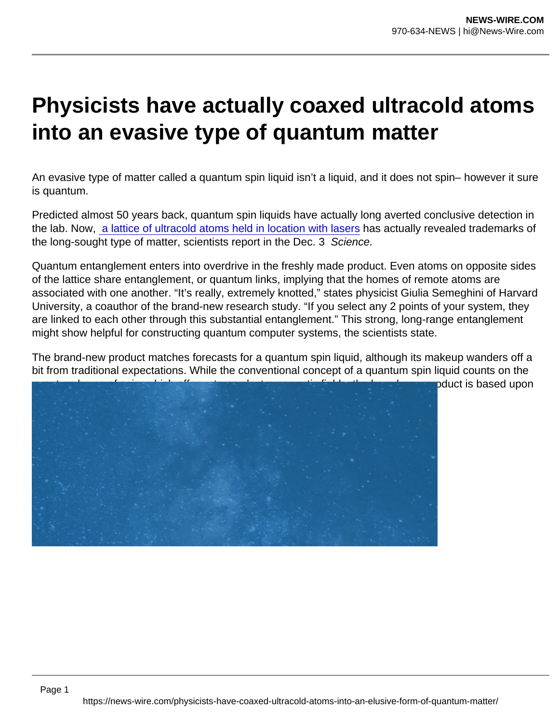## Physicists have actually coaxed ultracold atoms into an evasive type of quantum matter

An evasive type of matter called a quantum spin liquid isn't a liquid, and it does not spin– however it sure is quantum.

Predicted almost 50 years back, quantum spin liquids have actually long averted conclusive detection in the lab. Now, [a lattice of ultracold atoms held in location with lasers](https://www.science.org/doi/10.1126/science.abi8794) has actually revealed trademarks of the long-sought type of matter, scientists report in the Dec. 3 Science.

Quantum entanglement enters into overdrive in the freshly made product. Even atoms on opposite sides of the lattice share entanglement, or quantum links, implying that the homes of remote atoms are associated with one another. "It's really, extremely knotted," states physicist Giulia Semeghini of Harvard University, a coauthor of the brand-new research study. "If you select any 2 points of your system, they are linked to each other through this substantial entanglement." This strong, long-range entanglement might show helpful for constructing quantum computer systems, the scientists state.

The brand-new product matches forecasts for a quantum spin liquid, although its makeup wanders off a bit from traditional expectations. While the conventional concept of a quantum spin liquid counts on the quantum home of spin, which offers atoms electromagnetic fields, the brand-new product is based upon various atomic peculiarities.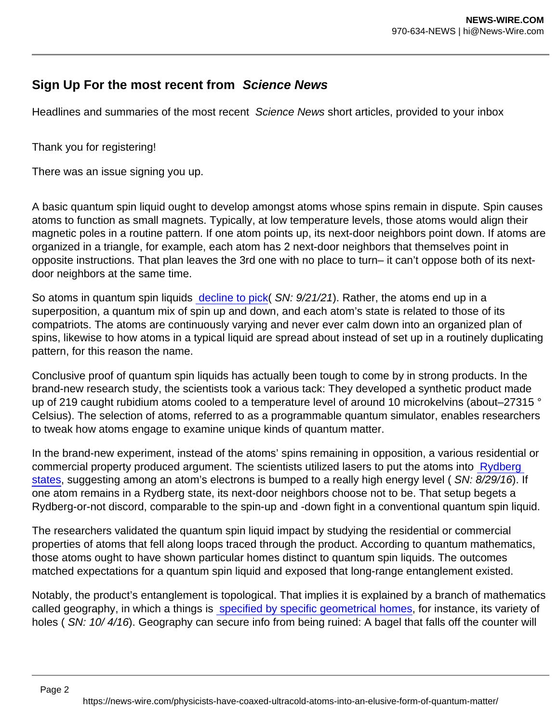## Sign Up For the most recent from Science News

Headlines and summaries of the most recent Science News short articles, provided to your inbox

Thank you for registering!

There was an issue signing you up.

A basic quantum spin liquid ought to develop amongst atoms whose spins remain in dispute. Spin causes atoms to function as small magnets. Typically, at low temperature levels, those atoms would align their magnetic poles in a routine pattern. If one atom points up, its next-door neighbors point down. If atoms are organized in a triangle, for example, each atom has 2 next-door neighbors that themselves point in opposite instructions. That plan leaves the 3rd one with no place to turn– it can't oppose both of its nextdoor neighbors at the same time.

So atoms in quantum spin liquids [decline to pick\(](https://www.sciencenews.org/article/physics-quantum-spin-ice-fine-structure-constant) SN: 9/21/21). Rather, the atoms end up in a superposition, a quantum mix of spin up and down, and each atom's state is related to those of its compatriots. The atoms are continuously varying and never ever calm down into an organized plan of spins, likewise to how atoms in a typical liquid are spread about instead of set up in a routinely duplicating pattern, for this reason the name.

Conclusive proof of quantum spin liquids has actually been tough to come by in strong products. In the brand-new research study, the scientists took a various tack: They developed a synthetic product made up of 219 caught rubidium atoms cooled to a temperature level of around 10 microkelvins (about–27315 ° Celsius). The selection of atoms, referred to as a programmable quantum simulator, enables researchers to tweak how atoms engage to examine unique kinds of quantum matter.

In the brand-new experiment, instead of the atoms' spins remaining in opposition, a various residential or commercial property produced argument. The scientists utilized lasers to put the atoms into Rydberg [states](https://www.sciencenews.org/article/bacteria-sized-molecules-created-lab), suggesting among an atom's electrons is bumped to a really high energy level ( SN: 8/29/16). If one atom remains in a Rydberg state, its next-door neighbors choose not to be. That setup begets a Rydberg-or-not discord, comparable to the spin-up and -down fight in a conventional quantum spin liquid.

The researchers validated the quantum spin liquid impact by studying the residential or commercial properties of atoms that fell along loops traced through the product. According to quantum mathematics, those atoms ought to have shown particular homes distinct to quantum spin liquids. The outcomes matched expectations for a quantum spin liquid and exposed that long-range entanglement existed.

Notably, the product's entanglement is topological. That implies it is explained by a branch of mathematics called geography, in which a things is [specified by specific geometrical homes,](https://www.sciencenews.org/article/nobel-awarded-using-math-shapes-explain-exotic-matter) for instance, its variety of holes ( SN: 10/ 4/16). Geography can secure info from being ruined: A bagel that falls off the counter will

Page 2